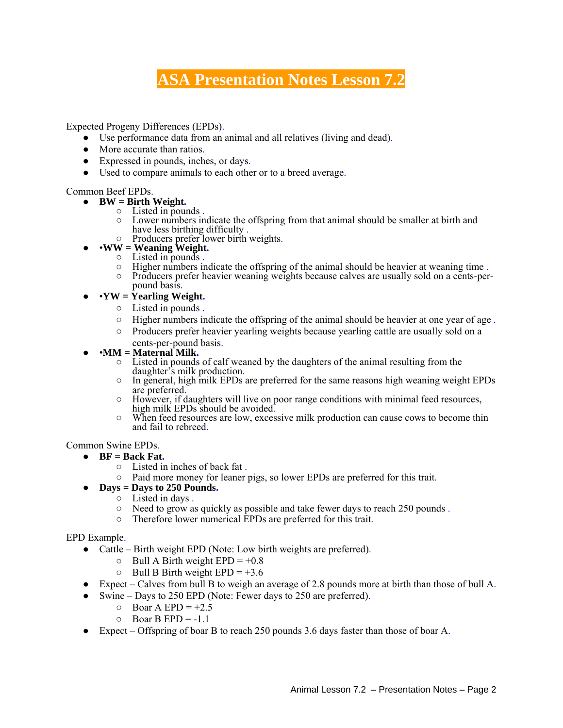## **ASA Presentation Notes Lesson 7.2**

Expected Progeny Differences (EPDs).

- Use performance data from an animal and all relatives (living and dead).
- More accurate than ratios.
- Expressed in pounds, inches, or days.
- Used to compare animals to each other or to a breed average.

- -
- **Common Beef EPDs.**<br>
 **BW = Birth Weight.**<br>
 Listed in pounds .<br>
 Lower numbers indicate the offspring from that animal should be smaller at birth and<br>
have less birthing difficulty .<br>
 **WW** = **Wealth and Weight.**<br>
	-
	- -
		- Contracted in pounds.<br>
		∴ Figher numbers indicate the offspring of the animal should be heavier at weaning time<br>
		∴ Producers prefer heavier weaning weights because calves are usually sold on a cents-per-
		- pound basis.
	- •**YW = Yearling Weight.**
		- Listed in pounds .
		- $\circ$  Higher numbers indicate the offspring of the animal should be heavier at one year of age.
		- Producers prefer heavier yearling weights because yearling cattle are usually sold on a
	-
- cents-per-pound basis. •**MM = Maternal Milk.** Listed in pounds of calf weaned by the daughters of the animal resulting from the
	- In general, high milk EPDs are preferred for the same reasons high weaning weight EPDs are preferred.
	- However, if daughters will live on poor range conditions with minimal feed resources, high milk EPDs should be avoided.
	- $\circ$  When feed resources are low, excessive milk production can cause cows to become thin and fail to rebreed.

Common Swine EPDs.

- **BF = Back Fat.**
	- Listed in inches of back fat .
	- Paid more money for leaner pigs, so lower EPDs are preferred for this trait.
- **Days = Days to 250 Pounds.**
	- Listed in days .
	- $\circ$  Need to grow as quickly as possible and take fewer days to reach 250 pounds.
	- Therefore lower numerical EPDs are preferred for this trait.

## EPD Example.

- Cattle Birth weight EPD (Note: Low birth weights are preferred).
	- $\circ$  Bull A Birth weight EPD = +0.8
	- $\circ$  Bull B Birth weight EPD = +3.6
- $\bullet$  Expect Calves from bull B to weigh an average of 2.8 pounds more at birth than those of bull A.
- Swine Days to 250 EPD (Note: Fewer days to 250 are preferred).
	- $\circ$  Boar A EPD = +2.5
	- $O$  Boar B EPD = -1.1
- Expect Offspring of boar B to reach 250 pounds 3.6 days faster than those of boar A.